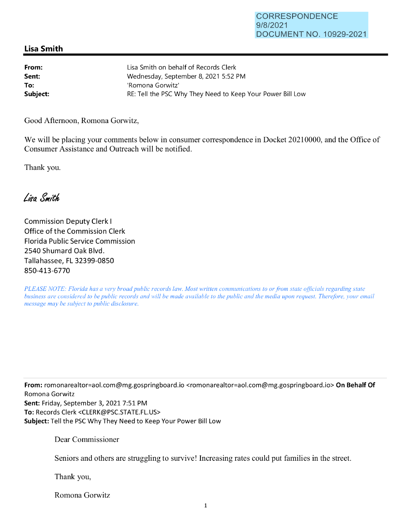## CORRESPONDENCE 9/8/2021 DOCUMENT NO. 10929-2021

## **Lisa Smith**

| From:    | Lisa Smith on behalf of Records Clerk                      |
|----------|------------------------------------------------------------|
| Sent:    | Wednesday, September 8, 2021 5:52 PM                       |
| To:      | 'Romona Gorwitz'                                           |
| Subject: | RE: Tell the PSC Why They Need to Keep Your Power Bill Low |

Good Afternoon, Romona Gorwitz,

We will be placing your comments below in consumer correspondence in Docket 20210000, and the Office of Consumer Assistance and Outreach will be notified.

Thank you.

Lisa Smith

Commission Deputy Clerk I Office of the Commission Clerk Florida Public Service Commission 2540 Shumard Oak Blvd. Tallahassee, FL 32399-0850 850-413-6770

*PLEASE NOTE: Florida has a very broad public records law. Most written communications to or from state officials regarding state business are considered to be public records and will be made available to the public and the media upon request. Therefore, your email message may be subject to public disclosure.* 

**From:** romonarealtor=aol.com@mg.gospringboard.io <romonarealtor=aol.com@mg.gospringboard.io> **On Behalf Of**  Romona Gorwitz **Sent:** Friday, September 3, 2021 7:51 PM **To:** Records Clerk <CLERK@PSC.STATE.FL.US> **Subject:** Tell the PSC Why They Need to Keep Your Power Bill Low

Dear Commissioner

Seniors and others are struggling to survive! Increasing rates could put families in the street.

Thank you,

Romona Gorwitz